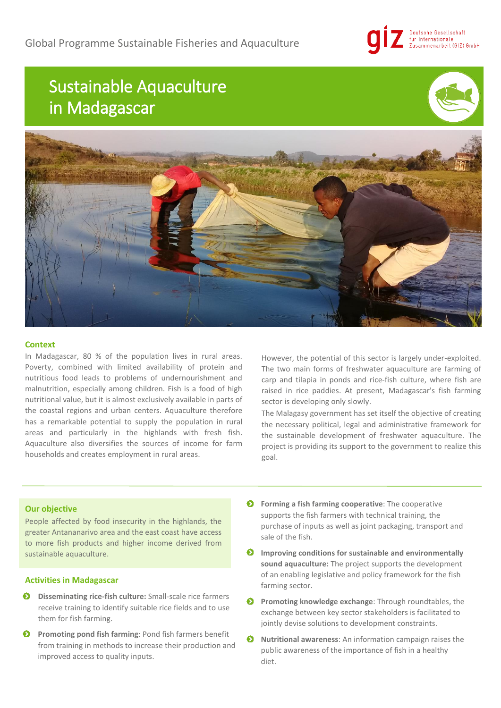# Deutsche Gesellschaft für Internationale<br>Zusammenarbeit (GIZ) GmbH

# Sustainable Aquaculture in Madagascar





### **Context**

In Madagascar, 80 % of the population lives in rural areas. Poverty, combined with limited availability of protein and nutritious food leads to problems of undernourishment and malnutrition, especially among children. Fish is a food of high nutritional value, but it is almost exclusively available in parts of the coastal regions and urban centers. Aquaculture therefore has a remarkable potential to supply the population in rural areas and particularly in the highlands with fresh fish. Aquaculture also diversifies the sources of income for farm households and creates employment in rural areas.

However, the potential of this sector is largely under-exploited. The two main forms of freshwater aquaculture are farming of carp and tilapia in ponds and rice-fish culture, where fish are raised in rice paddies. At present, Madagascar's fish farming sector is developing only slowly.

The Malagasy government has set itself the objective of creating the necessary political, legal and administrative framework for the sustainable development of freshwater aquaculture. The project is providing its support to the government to realize this goal.

# **Our objective**

People affected by food insecurity in the highlands, the greater Antananarivo area and the east coast have access to more fish products and higher income derived from sustainable aquaculture.

# **Activities in Madagascar**

- Ð **Disseminating rice-fish culture:** Small-scale rice farmers receive training to identify suitable rice fields and to use them for fish farming.
- $\bullet$ **Promoting pond fish farming**: Pond fish farmers benefit from training in methods to increase their production and improved access to quality inputs.
- $\bullet$  Forming a fish farming cooperative: The cooperative supports the fish farmers with technical training, the purchase of inputs as well as joint packaging, transport and sale of the fish.
- **Improving conditions for sustainable and environmentally sound aquaculture:** The project supports the development of an enabling legislative and policy framework for the fish farming sector.
- **Promoting knowledge exchange**: Through roundtables, the exchange between key sector stakeholders is facilitated to jointly devise solutions to development constraints.
- $\bullet$ **Nutritional awareness**: An information campaign raises the public awareness of the importance of fish in a healthy diet.